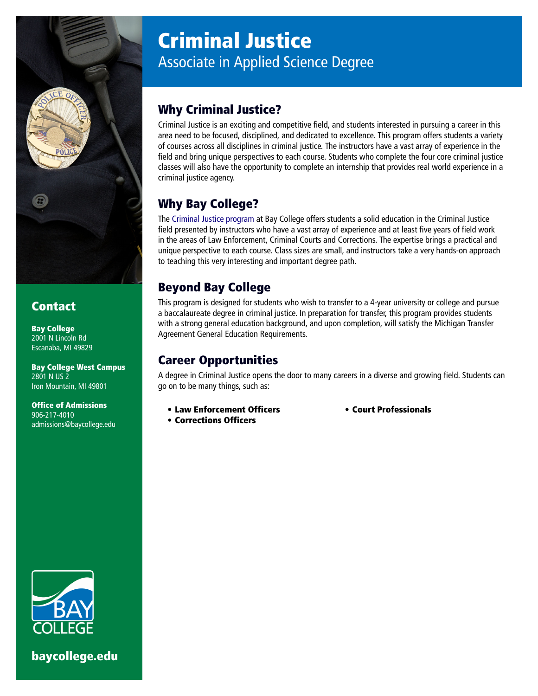

### **Contact**

Bay College 2001 N Lincoln Rd Escanaba, MI 49829

Bay College West Campus 2801 N US 2 Iron Mountain, MI 49801

Office of Admissions 906-217-4010 admissions@baycollege.edu



[baycollege.edu](https://www.baycollege.edu)

# Criminal Justice Associate in Applied Science Degree

### Why Criminal Justice?

Criminal Justice is an exciting and competitive field, and students interested in pursuing a career in this area need to be focused, disciplined, and dedicated to excellence. This program offers students a variety of courses across all disciplines in criminal justice. The instructors have a vast array of experience in the field and bring unique perspectives to each course. Students who complete the four core criminal justice classes will also have the opportunity to complete an internship that provides real world experience in a criminal justice agency.

# Why Bay College?

The [Criminal Justice program](http://catalog.baycollege.edu/preview_program.php?catoid=3&poid=163&returnto=110) at Bay College offers students a solid education in the Criminal Justice field presented by instructors who have a vast array of experience and at least five years of field work in the areas of Law Enforcement, Criminal Courts and Corrections. The expertise brings a practical and unique perspective to each course. Class sizes are small, and instructors take a very hands-on approach to teaching this very interesting and important degree path.

## Beyond Bay College

This program is designed for students who wish to transfer to a 4-year university or college and pursue a baccalaureate degree in criminal justice. In preparation for transfer, this program provides students with a strong general education background, and upon completion, will satisfy the Michigan Transfer Agreement General Education Requirements.

### Career Opportunities

A degree in Criminal Justice opens the door to many careers in a diverse and growing field. Students can go on to be many things, such as:

- Law Enforcement Officers
- Court Professionals

• Corrections Officers